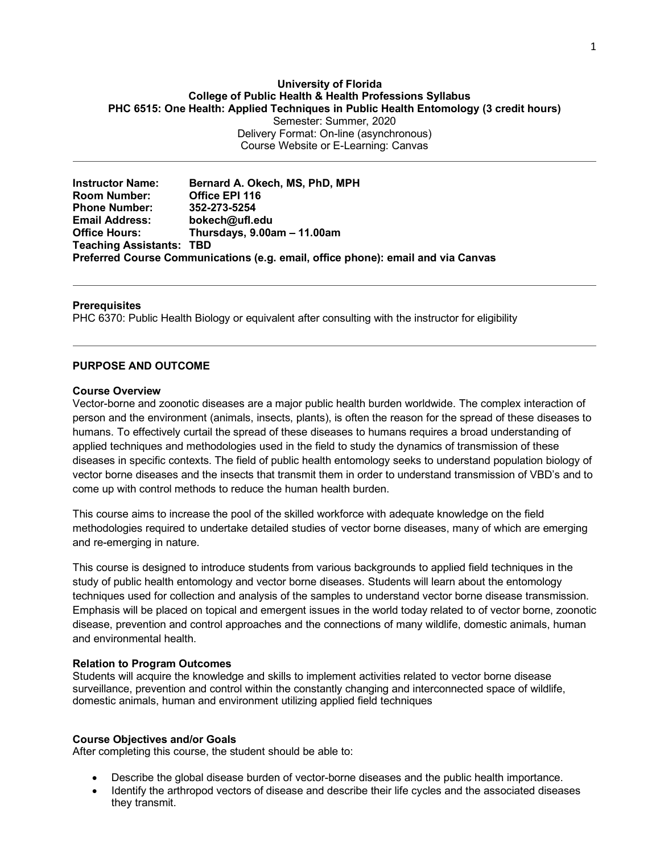#### **University of Florida College of Public Health & Health Professions Syllabus PHC 6515: One Health: Applied Techniques in Public Health Entomology (3 credit hours)** Semester: Summer, 2020

Delivery Format: On-line (asynchronous) Course Website or E-Learning: Canvas

**Instructor Name: Bernard A. Okech, MS, PhD, MPH Office EPI 116 Phone Number: 352-273-5254 Email Address: bokech@ufl.edu Office Hours: Thursdays, 9.00am – 11.00am Teaching Assistants: TBD Preferred Course Communications (e.g. email, office phone): email and via Canvas**

### **Prerequisites**

PHC 6370: Public Health Biology or equivalent after consulting with the instructor for eligibility

### **PURPOSE AND OUTCOME**

### **Course Overview**

Vector-borne and zoonotic diseases are a major public health burden worldwide. The complex interaction of person and the environment (animals, insects, plants), is often the reason for the spread of these diseases to humans. To effectively curtail the spread of these diseases to humans requires a broad understanding of applied techniques and methodologies used in the field to study the dynamics of transmission of these diseases in specific contexts. The field of public health entomology seeks to understand population biology of vector borne diseases and the insects that transmit them in order to understand transmission of VBD's and to come up with control methods to reduce the human health burden.

This course aims to increase the pool of the skilled workforce with adequate knowledge on the field methodologies required to undertake detailed studies of vector borne diseases, many of which are emerging and re-emerging in nature.

This course is designed to introduce students from various backgrounds to applied field techniques in the study of public health entomology and vector borne diseases. Students will learn about the entomology techniques used for collection and analysis of the samples to understand vector borne disease transmission. Emphasis will be placed on topical and emergent issues in the world today related to of vector borne, zoonotic disease, prevention and control approaches and the connections of many wildlife, domestic animals, human and environmental health.

### **Relation to Program Outcomes**

Students will acquire the knowledge and skills to implement activities related to vector borne disease surveillance, prevention and control within the constantly changing and interconnected space of wildlife, domestic animals, human and environment utilizing applied field techniques

#### **Course Objectives and/or Goals**

After completing this course, the student should be able to:

- Describe the global disease burden of vector-borne diseases and the public health importance.
- Identify the arthropod vectors of disease and describe their life cycles and the associated diseases they transmit.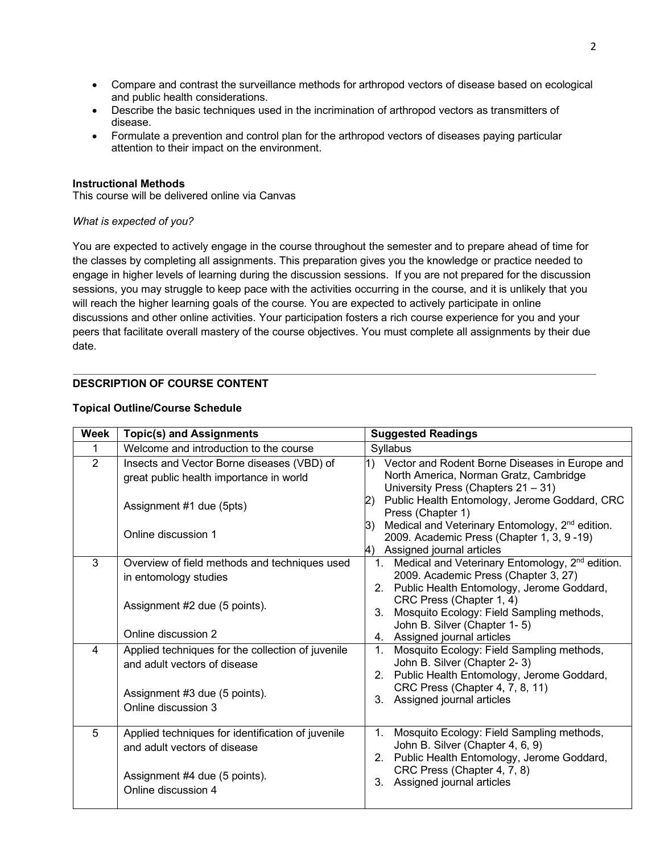- Compare and contrast the surveillance methods for arthropod vectors of disease based on ecological and public health considerations.
- Describe the basic techniques used in the incrimination of arthropod vectors as transmitters of disease.
- Formulate a prevention and control plan for the arthropod vectors of diseases paying particular attention to their impact on the environment.

### **Instructional Methods**

This course will be delivered online via Canvas

### *What is expected of you?*

You are expected to actively engage in the course throughout the semester and to prepare ahead of time for the classes by completing all assignments. This preparation gives you the knowledge or practice needed to engage in higher levels of learning during the discussion sessions. If you are not prepared for the discussion sessions, you may struggle to keep pace with the activities occurring in the course, and it is unlikely that you will reach the higher learning goals of the course. You are expected to actively participate in online discussions and other online activities. Your participation fosters a rich course experience for you and your peers that facilitate overall mastery of the course objectives. You must complete all assignments by their due date.

# **DESCRIPTION OF COURSE CONTENT**

| <b>Week</b>    | <b>Topic(s) and Assignments</b>                                                       | <b>Suggested Readings</b>                                                                                                                              |
|----------------|---------------------------------------------------------------------------------------|--------------------------------------------------------------------------------------------------------------------------------------------------------|
| 1              | Welcome and introduction to the course                                                | Syllabus                                                                                                                                               |
| $\overline{2}$ | Insects and Vector Borne diseases (VBD) of<br>great public health importance in world | 1) Vector and Rodent Borne Diseases in Europe and<br>North America, Norman Gratz, Cambridge<br>University Press (Chapters 21 - 31)                     |
|                | Assignment #1 due (5pts)                                                              | Public Health Entomology, Jerome Goddard, CRC<br>2).<br>Press (Chapter 1)                                                                              |
|                | Online discussion 1                                                                   | Medical and Veterinary Entomology, 2 <sup>nd</sup> edition.<br>3)<br>2009. Academic Press (Chapter 1, 3, 9 - 19)<br>Assigned journal articles<br>4)    |
| 3              | Overview of field methods and techniques used<br>in entomology studies                | 1. Medical and Veterinary Entomology, 2 <sup>nd</sup> edition.<br>2009. Academic Press (Chapter 3, 27)<br>2. Public Health Entomology, Jerome Goddard, |
|                | Assignment #2 due (5 points).                                                         | CRC Press (Chapter 1, 4)<br>Mosquito Ecology: Field Sampling methods,<br>$3_{-}$<br>John B. Silver (Chapter 1-5)                                       |
|                | Online discussion 2                                                                   | 4. Assigned journal articles                                                                                                                           |
| 4              | Applied techniques for the collection of juvenile<br>and adult vectors of disease     | Mosquito Ecology: Field Sampling methods,<br>$1_{-}$<br>John B. Silver (Chapter 2-3)<br>2. Public Health Entomology, Jerome Goddard,                   |
|                | Assignment #3 due (5 points).<br>Online discussion 3                                  | CRC Press (Chapter 4, 7, 8, 11)<br>Assigned journal articles<br>3 <sub>1</sub>                                                                         |
| 5              | Applied techniques for identification of juvenile<br>and adult vectors of disease     | Mosquito Ecology: Field Sampling methods,<br>1.<br>John B. Silver (Chapter 4, 6, 9)<br>2. Public Health Entomology, Jerome Goddard,                    |
|                | Assignment #4 due (5 points).<br>Online discussion 4                                  | CRC Press (Chapter 4, 7, 8)<br>Assigned journal articles<br>3.                                                                                         |

# **Topical Outline/Course Schedule**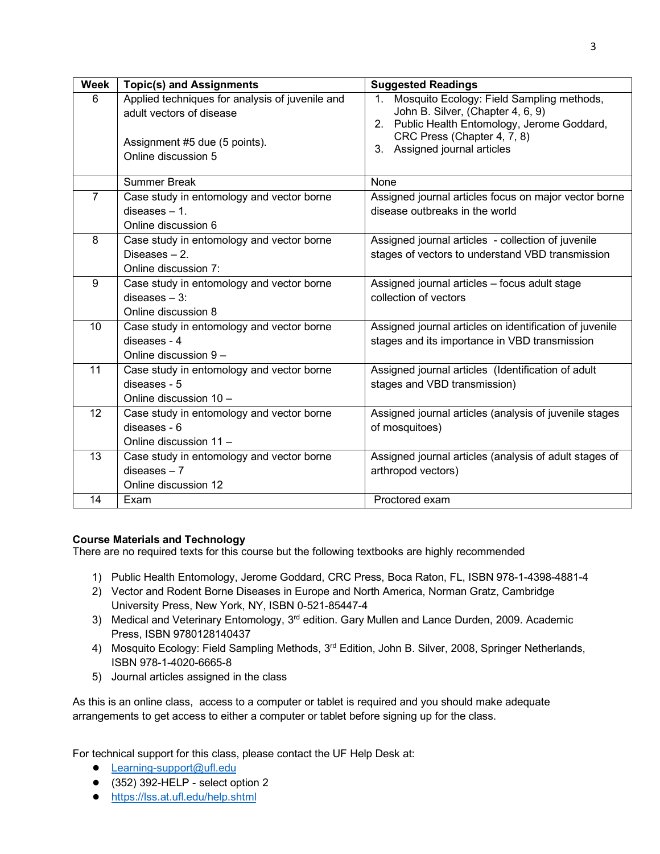| <b>Week</b>    | <b>Topic(s) and Assignments</b>                                                                                                     | <b>Suggested Readings</b>                                                                                                                                                                                          |
|----------------|-------------------------------------------------------------------------------------------------------------------------------------|--------------------------------------------------------------------------------------------------------------------------------------------------------------------------------------------------------------------|
| 6              | Applied techniques for analysis of juvenile and<br>adult vectors of disease<br>Assignment #5 due (5 points).<br>Online discussion 5 | Mosquito Ecology: Field Sampling methods,<br>1 <sup>1</sup><br>John B. Silver, (Chapter 4, 6, 9)<br>2. Public Health Entomology, Jerome Goddard,<br>CRC Press (Chapter 4, 7, 8)<br>Assigned journal articles<br>3. |
|                | <b>Summer Break</b>                                                                                                                 | None                                                                                                                                                                                                               |
| $\overline{7}$ | Case study in entomology and vector borne<br>$diseases - 1.$<br>Online discussion 6                                                 | Assigned journal articles focus on major vector borne<br>disease outbreaks in the world                                                                                                                            |
| 8              | Case study in entomology and vector borne<br>Diseases - 2.<br>Online discussion 7:                                                  | Assigned journal articles - collection of juvenile<br>stages of vectors to understand VBD transmission                                                                                                             |
| 9              | Case study in entomology and vector borne<br>$diseases - 3$ :<br>Online discussion 8                                                | Assigned journal articles - focus adult stage<br>collection of vectors                                                                                                                                             |
| 10             | Case study in entomology and vector borne<br>diseases - 4<br>Online discussion 9 -                                                  | Assigned journal articles on identification of juvenile<br>stages and its importance in VBD transmission                                                                                                           |
| 11             | Case study in entomology and vector borne<br>diseases - 5<br>Online discussion 10 -                                                 | Assigned journal articles (Identification of adult<br>stages and VBD transmission)                                                                                                                                 |
| 12             | Case study in entomology and vector borne<br>diseases - 6<br>Online discussion 11 -                                                 | Assigned journal articles (analysis of juvenile stages<br>of mosquitoes)                                                                                                                                           |
| 13             | Case study in entomology and vector borne<br>$diseases - 7$<br>Online discussion 12                                                 | Assigned journal articles (analysis of adult stages of<br>arthropod vectors)                                                                                                                                       |
| 14             | Exam                                                                                                                                | Proctored exam                                                                                                                                                                                                     |

# **Course Materials and Technology**

There are no required texts for this course but the following textbooks are highly recommended

- 1) Public Health Entomology, Jerome Goddard, CRC Press, Boca Raton, FL, ISBN 978-1-4398-4881-4
- 2) Vector and Rodent Borne Diseases in Europe and North America, Norman Gratz, Cambridge University Press, New York, NY, ISBN 0-521-85447-4
- 3) Medical and Veterinary Entomology, 3<sup>rd</sup> edition. Gary Mullen and Lance Durden, 2009. Academic Press, ISBN 9780128140437
- 4) Mosquito Ecology: Field Sampling Methods, 3<sup>rd</sup> Edition, John B. Silver, 2008, Springer Netherlands, ISBN 978-1-4020-6665-8
- 5) Journal articles assigned in the class

As this is an online class, access to a computer or tablet is required and you should make adequate arrangements to get access to either a computer or tablet before signing up for the class.

For technical support for this class, please contact the UF Help Desk at:

- Learning-support@ufl.edu
- $\bullet$  (352) 392-HELP select option 2
- https://lss.at.ufl.edu/help.shtml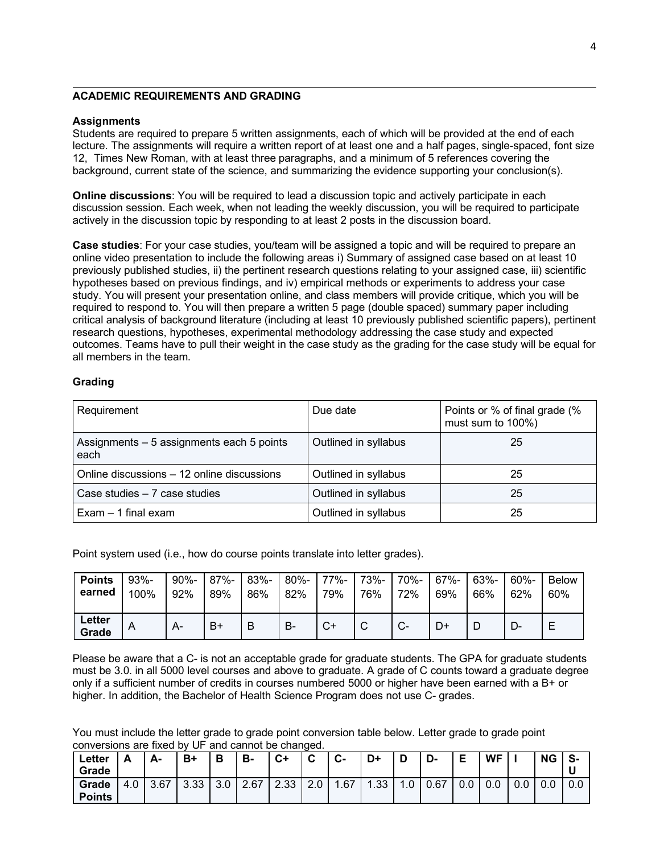### **ACADEMIC REQUIREMENTS AND GRADING**

#### **Assignments**

Students are required to prepare 5 written assignments, each of which will be provided at the end of each lecture. The assignments will require a written report of at least one and a half pages, single-spaced, font size 12, Times New Roman, with at least three paragraphs, and a minimum of 5 references covering the background, current state of the science, and summarizing the evidence supporting your conclusion(s).

**Online discussions**: You will be required to lead a discussion topic and actively participate in each discussion session. Each week, when not leading the weekly discussion, you will be required to participate actively in the discussion topic by responding to at least 2 posts in the discussion board.

**Case studies**: For your case studies, you/team will be assigned a topic and will be required to prepare an online video presentation to include the following areas i) Summary of assigned case based on at least 10 previously published studies, ii) the pertinent research questions relating to your assigned case, iii) scientific hypotheses based on previous findings, and iv) empirical methods or experiments to address your case study. You will present your presentation online, and class members will provide critique, which you will be required to respond to. You will then prepare a written 5 page (double spaced) summary paper including critical analysis of background literature (including at least 10 previously published scientific papers), pertinent research questions, hypotheses, experimental methodology addressing the case study and expected outcomes. Teams have to pull their weight in the case study as the grading for the case study will be equal for all members in the team.

### **Grading**

| Requirement                                       | Due date             | Points or % of final grade (%<br>must sum to 100%) |  |  |
|---------------------------------------------------|----------------------|----------------------------------------------------|--|--|
| Assignments - 5 assignments each 5 points<br>each | Outlined in syllabus | 25                                                 |  |  |
| Online discussions – 12 online discussions        | Outlined in syllabus | 25                                                 |  |  |
| Case studies - 7 case studies                     | Outlined in syllabus | 25                                                 |  |  |
| $Exam - 1$ final exam                             | Outlined in syllabus | 25                                                 |  |  |

Point system used (i.e., how do course points translate into letter grades).

| <b>Points</b>   | $93% -$ | $90% -$ | 87%- | $83% -$ | $80\% -$ | 77%- | 73%- | 70%-         | 67%- | 63%- | $60% -$ | <b>Below</b> |
|-----------------|---------|---------|------|---------|----------|------|------|--------------|------|------|---------|--------------|
| earned          | 100%    | 92%     | 89%  | 86%     | 82%      | 79%  | 76%  | 72%          | 69%  | 66%  | 62%     | 60%          |
| Letter<br>Grade | A       | A-      | B۱   | B       | B-       | ◡    | ◡    | $\sim$<br>v- | D+   |      |         | ⊢<br>−       |

Please be aware that a C- is not an acceptable grade for graduate students. The GPA for graduate students must be 3.0. in all 5000 level courses and above to graduate. A grade of C counts toward a graduate degree only if a sufficient number of credits in courses numbered 5000 or higher have been earned with a B+ or higher. In addition, the Bachelor of Health Science Program does not use C- grades.

You must include the letter grade to grade point conversion table below. Letter grade to grade point conversions are fixed by UF and cannot be changed.

| Letter        | А   | А-   | B+   | Ð   | в-   | $C+$ | $\sim$<br>v | $\sim$<br>v- | D+  |    | D-   | Е   | <b>WF</b> |     | <b>NG</b> | S-  |
|---------------|-----|------|------|-----|------|------|-------------|--------------|-----|----|------|-----|-----------|-----|-----------|-----|
| Grade         |     |      |      |     |      |      |             |              |     |    |      |     |           |     |           |     |
| Grade         | 4.0 | 3.67 | 3.33 | 3.0 | 2.67 | ںں.ے | າ ∩<br>z.u  | .67          | .33 | .U | 0.67 | 0.0 | v.v       | 0.0 | 0.0       | 0.0 |
| <b>Points</b> |     |      |      |     |      |      |             |              |     |    |      |     |           |     |           |     |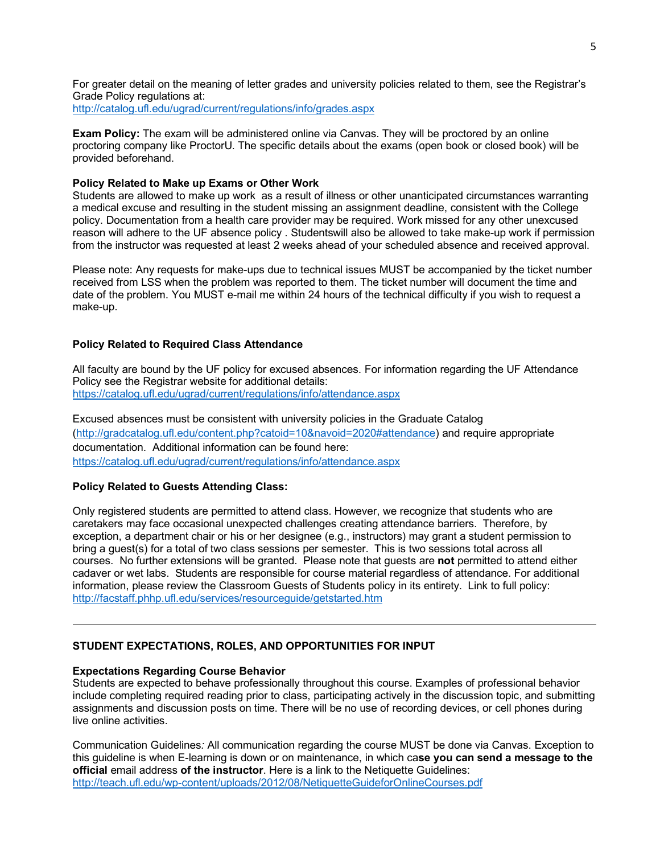For greater detail on the meaning of letter grades and university policies related to them, see the Registrar's Grade Policy regulations at: http://catalog.ufl.edu/ugrad/current/regulations/info/grades.aspx

**Exam Policy:** The exam will be administered online via Canvas. They will be proctored by an online proctoring company like ProctorU. The specific details about the exams (open book or closed book) will be provided beforehand.

## **Policy Related to Make up Exams or Other Work**

Students are allowed to make up work as a result of illness or other unanticipated circumstances warranting a medical excuse and resulting in the student missing an assignment deadline, consistent with the College policy. Documentation from a health care provider may be required. Work missed for any other unexcused reason will adhere to the UF absence policy . Studentswill also be allowed to take make-up work if permission from the instructor was requested at least 2 weeks ahead of your scheduled absence and received approval.

Please note: Any requests for make-ups due to technical issues MUST be accompanied by the ticket number received from LSS when the problem was reported to them. The ticket number will document the time and date of the problem. You MUST e-mail me within 24 hours of the technical difficulty if you wish to request a make-up.

# **Policy Related to Required Class Attendance**

All faculty are bound by the UF policy for excused absences. For information regarding the UF Attendance Policy see the Registrar website for additional details: https://catalog.ufl.edu/ugrad/current/regulations/info/attendance.aspx

Excused absences must be consistent with university policies in the Graduate Catalog (http://gradcatalog.ufl.edu/content.php?catoid=10&navoid=2020#attendance) and require appropriate documentation. Additional information can be found here: https://catalog.ufl.edu/ugrad/current/regulations/info/attendance.aspx

# **Policy Related to Guests Attending Class:**

Only registered students are permitted to attend class. However, we recognize that students who are caretakers may face occasional unexpected challenges creating attendance barriers. Therefore, by exception, a department chair or his or her designee (e.g., instructors) may grant a student permission to bring a guest(s) for a total of two class sessions per semester. This is two sessions total across all courses. No further extensions will be granted. Please note that guests are **not** permitted to attend either cadaver or wet labs. Students are responsible for course material regardless of attendance. For additional information, please review the Classroom Guests of Students policy in its entirety. Link to full policy: http://facstaff.phhp.ufl.edu/services/resourceguide/getstarted.htm

# **STUDENT EXPECTATIONS, ROLES, AND OPPORTUNITIES FOR INPUT**

# **Expectations Regarding Course Behavior**

Students are expected to behave professionally throughout this course. Examples of professional behavior include completing required reading prior to class, participating actively in the discussion topic, and submitting assignments and discussion posts on time. There will be no use of recording devices, or cell phones during live online activities.

Communication Guidelines*:* All communication regarding the course MUST be done via Canvas. Exception to this guideline is when E-learning is down or on maintenance, in which ca**se you can send a message to the official** email address **of the instructor**. Here is a link to the Netiquette Guidelines: http://teach.ufl.edu/wp-content/uploads/2012/08/NetiquetteGuideforOnlineCourses.pdf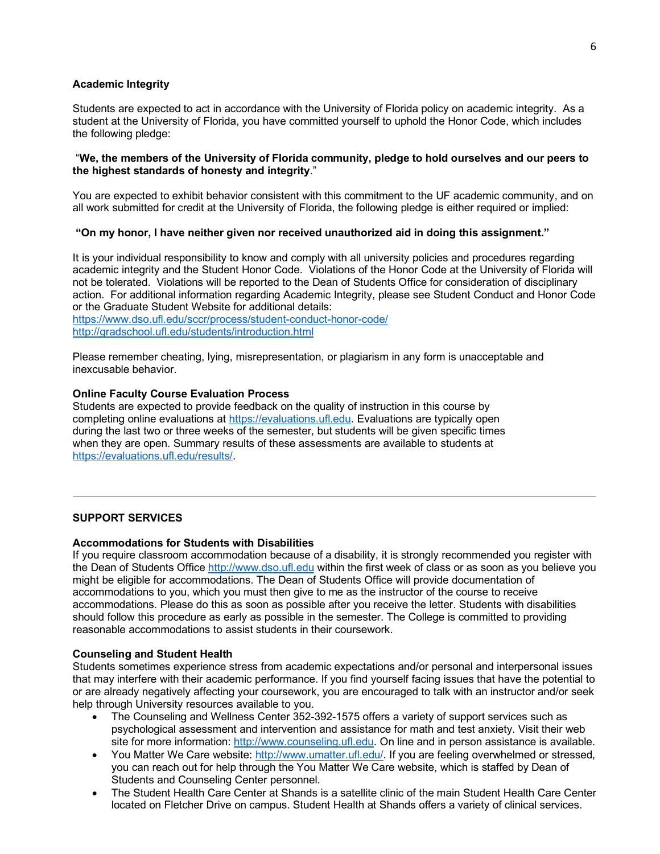### **Academic Integrity**

Students are expected to act in accordance with the University of Florida policy on academic integrity. As a student at the University of Florida, you have committed yourself to uphold the Honor Code, which includes the following pledge:

### "**We, the members of the University of Florida community, pledge to hold ourselves and our peers to the highest standards of honesty and integrity**."

You are expected to exhibit behavior consistent with this commitment to the UF academic community, and on all work submitted for credit at the University of Florida, the following pledge is either required or implied:

### **"On my honor, I have neither given nor received unauthorized aid in doing this assignment."**

It is your individual responsibility to know and comply with all university policies and procedures regarding academic integrity and the Student Honor Code. Violations of the Honor Code at the University of Florida will not be tolerated. Violations will be reported to the Dean of Students Office for consideration of disciplinary action. For additional information regarding Academic Integrity, please see Student Conduct and Honor Code or the Graduate Student Website for additional details:

https://www.dso.ufl.edu/sccr/process/student-conduct-honor-code/ http://gradschool.ufl.edu/students/introduction.html

Please remember cheating, lying, misrepresentation, or plagiarism in any form is unacceptable and inexcusable behavior.

### **Online Faculty Course Evaluation Process**

Students are expected to provide feedback on the quality of instruction in this course by completing online evaluations at https://evaluations.ufl.edu. Evaluations are typically open during the last two or three weeks of the semester, but students will be given specific times when they are open. Summary results of these assessments are available to students at https://evaluations.ufl.edu/results/.

### **SUPPORT SERVICES**

#### **Accommodations for Students with Disabilities**

If you require classroom accommodation because of a disability, it is strongly recommended you register with the Dean of Students Office http://www.dso.ufl.edu within the first week of class or as soon as you believe you might be eligible for accommodations. The Dean of Students Office will provide documentation of accommodations to you, which you must then give to me as the instructor of the course to receive accommodations. Please do this as soon as possible after you receive the letter. Students with disabilities should follow this procedure as early as possible in the semester. The College is committed to providing reasonable accommodations to assist students in their coursework.

#### **Counseling and Student Health**

Students sometimes experience stress from academic expectations and/or personal and interpersonal issues that may interfere with their academic performance. If you find yourself facing issues that have the potential to or are already negatively affecting your coursework, you are encouraged to talk with an instructor and/or seek help through University resources available to you.

- The Counseling and Wellness Center 352-392-1575 offers a variety of support services such as psychological assessment and intervention and assistance for math and test anxiety. Visit their web site for more information: http://www.counseling.ufl.edu. On line and in person assistance is available.
- You Matter We Care website: http://www.umatter.ufl.edu/. If you are feeling overwhelmed or stressed, you can reach out for help through the You Matter We Care website, which is staffed by Dean of Students and Counseling Center personnel.
- The Student Health Care Center at Shands is a satellite clinic of the main Student Health Care Center located on Fletcher Drive on campus. Student Health at Shands offers a variety of clinical services.